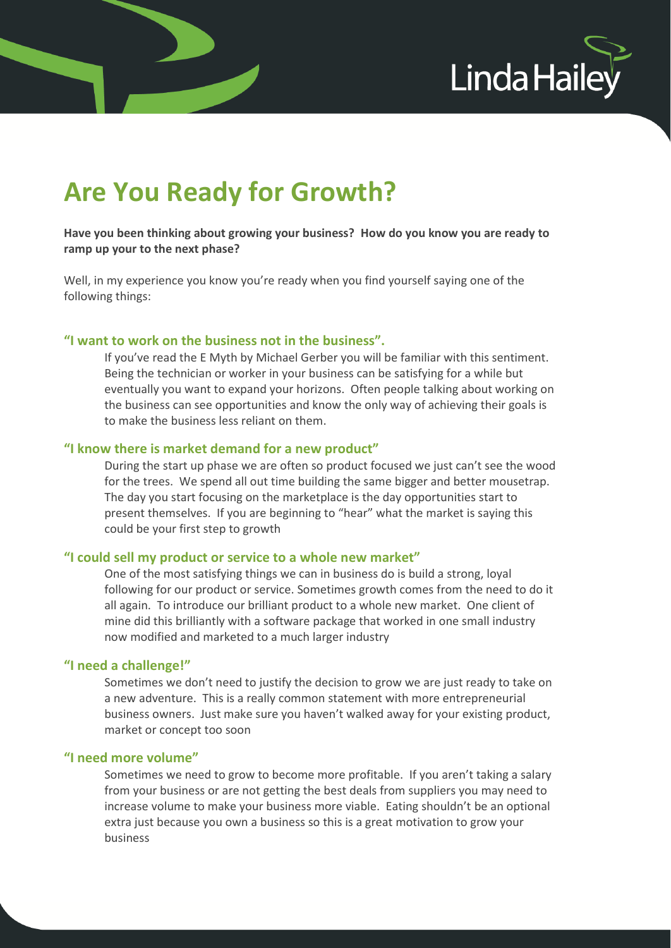

# **Are You Ready for Growth?**

# **Have you been thinking about growing your business? How do you know you are ready to ramp up your to the next phase?**

Well, in my experience you know you're ready when you find yourself saying one of the following things:

## **"I want to work on the business not in the business".**

If you've read the E Myth by Michael Gerber you will be familiar with this sentiment. Being the technician or worker in your business can be satisfying for a while but eventually you want to expand your horizons. Often people talking about working on the business can see opportunities and know the only way of achieving their goals is to make the business less reliant on them.

#### **"I know there is market demand for a new product"**

During the start up phase we are often so product focused we just can't see the wood for the trees. We spend all out time building the same bigger and better mousetrap. The day you start focusing on the marketplace is the day opportunities start to present themselves. If you are beginning to "hear" what the market is saying this could be your first step to growth

#### **"I could sell my product or service to a whole new market"**

One of the most satisfying things we can in business do is build a strong, loyal following for our product or service. Sometimes growth comes from the need to do it all again. To introduce our brilliant product to a whole new market. One client of mine did this brilliantly with a software package that worked in one small industry now modified and marketed to a much larger industry

## **"I need a challenge!"**

Sometimes we don't need to justify the decision to grow we are just ready to take on a new adventure. This is a really common statement with more entrepreneurial business owners. Just make sure you haven't walked away for your existing product, market or concept too soon

#### **"I need more volume"**

Sometimes we need to grow to become more profitable. If you aren't taking a salary from your business or are not getting the best deals from suppliers you may need to increase volume to make your business more viable. Eating shouldn't be an optional extra just because you own a business so this is a great motivation to grow your business